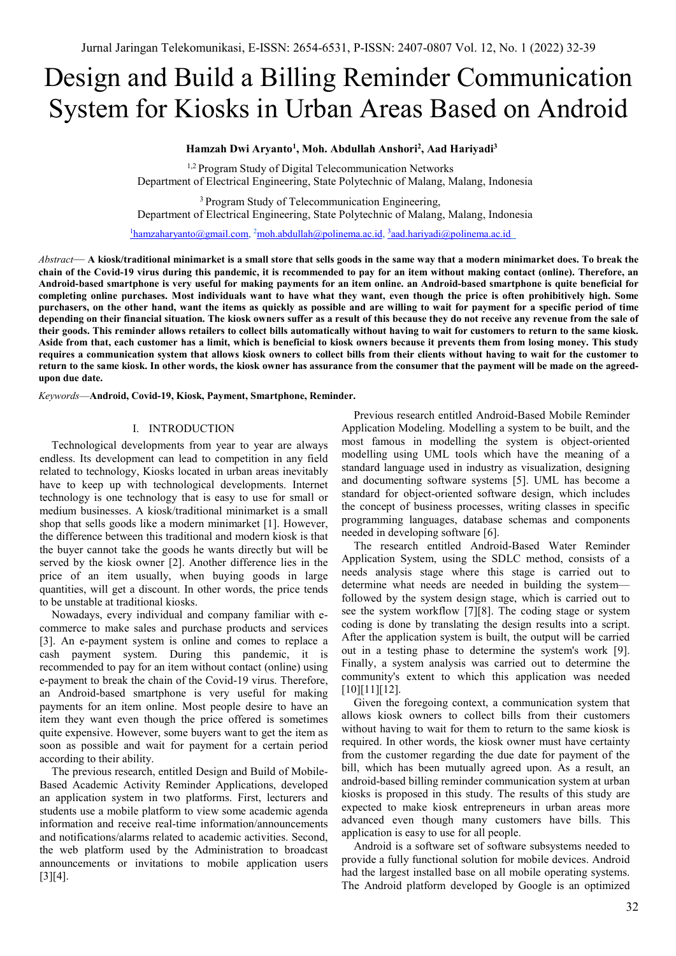# Design and Build a Billing Reminder Communication System for Kiosks in Urban Areas Based on Android

# **Hamzah Dwi Aryanto1 , Moh. Abdullah Anshori2 , Aad Hariyadi3**

<sup>1,2</sup> Program Study of Digital Telecommunication Networks Department of Electrical Engineering, State Polytechnic of Malang, Malang, Indonesia

<sup>3</sup> Program Study of Telecommunication Engineering, Department of Electrical Engineering, State Polytechnic of Malang, Malang, Indonesia

 $1$ hamzaharyanto@gmail.com,  $2$ moh.abdullah@polinema.ac.id,  $3$ aad.hariyadi@polinema.ac.id

*Abstract*— **A kiosk/traditional minimarket is a small store that sells goods in the same way that a modern minimarket does. To break the chain of the Covid-19 virus during this pandemic, it is recommended to pay for an item without making contact (online). Therefore, an Android-based smartphone is very useful for making payments for an item online. an Android-based smartphone is quite beneficial for completing online purchases. Most individuals want to have what they want, even though the price is often prohibitively high. Some purchasers, on the other hand, want the items as quickly as possible and are willing to wait for payment for a specific period of time depending on their financial situation. The kiosk owners suffer as a result of this because they do not receive any revenue from the sale of their goods. This reminder allows retailers to collect bills automatically without having to wait for customers to return to the same kiosk. Aside from that, each customer has a limit, which is beneficial to kiosk owners because it prevents them from losing money. This study requires a communication system that allows kiosk owners to collect bills from their clients without having to wait for the customer to return to the same kiosk. In other words, the kiosk owner has assurance from the consumer that the payment will be made on the agreedupon due date.**

*Keywords*—**Android, Covid-19, Kiosk, Payment, Smartphone, Reminder.**

#### I. INTRODUCTION

Technological developments from year to year are always endless. Its development can lead to competition in any field related to technology, Kiosks located in urban areas inevitably have to keep up with technological developments. Internet technology is one technology that is easy to use for small or medium businesses. A kiosk/traditional minimarket is a small shop that sells goods like a modern minimarket [1]. However, the difference between this traditional and modern kiosk is that the buyer cannot take the goods he wants directly but will be served by the kiosk owner [2]. Another difference lies in the price of an item usually, when buying goods in large quantities, will get a discount. In other words, the price tends to be unstable at traditional kiosks.

Nowadays, every individual and company familiar with ecommerce to make sales and purchase products and services [3]. An e-payment system is online and comes to replace a cash payment system. During this pandemic, it is recommended to pay for an item without contact (online) using e-payment to break the chain of the Covid-19 virus. Therefore, an Android-based smartphone is very useful for making payments for an item online. Most people desire to have an item they want even though the price offered is sometimes quite expensive. However, some buyers want to get the item as soon as possible and wait for payment for a certain period according to their ability.

The previous research, entitled Design and Build of Mobile-Based Academic Activity Reminder Applications, developed an application system in two platforms. First, lecturers and students use a mobile platform to view some academic agenda information and receive real-time information/announcements and notifications/alarms related to academic activities. Second, the web platform used by the Administration to broadcast announcements or invitations to mobile application users [3][4].

Previous research entitled Android-Based Mobile Reminder Application Modeling. Modelling a system to be built, and the most famous in modelling the system is object-oriented modelling using UML tools which have the meaning of a standard language used in industry as visualization, designing and documenting software systems [5]. UML has become a standard for object-oriented software design, which includes the concept of business processes, writing classes in specific programming languages, database schemas and components needed in developing software [6].

The research entitled Android-Based Water Reminder Application System, using the SDLC method, consists of a needs analysis stage where this stage is carried out to determine what needs are needed in building the system followed by the system design stage, which is carried out to see the system workflow [7][8]. The coding stage or system coding is done by translating the design results into a script. After the application system is built, the output will be carried out in a testing phase to determine the system's work [9]. Finally, a system analysis was carried out to determine the community's extent to which this application was needed [10][11][12].

Given the foregoing context, a communication system that allows kiosk owners to collect bills from their customers without having to wait for them to return to the same kiosk is required. In other words, the kiosk owner must have certainty from the customer regarding the due date for payment of the bill, which has been mutually agreed upon. As a result, an android-based billing reminder communication system at urban kiosks is proposed in this study. The results of this study are expected to make kiosk entrepreneurs in urban areas more advanced even though many customers have bills. This application is easy to use for all people.

Android is a software set of software subsystems needed to provide a fully functional solution for mobile devices. Android had the largest installed base on all mobile operating systems. The Android platform developed by Google is an optimized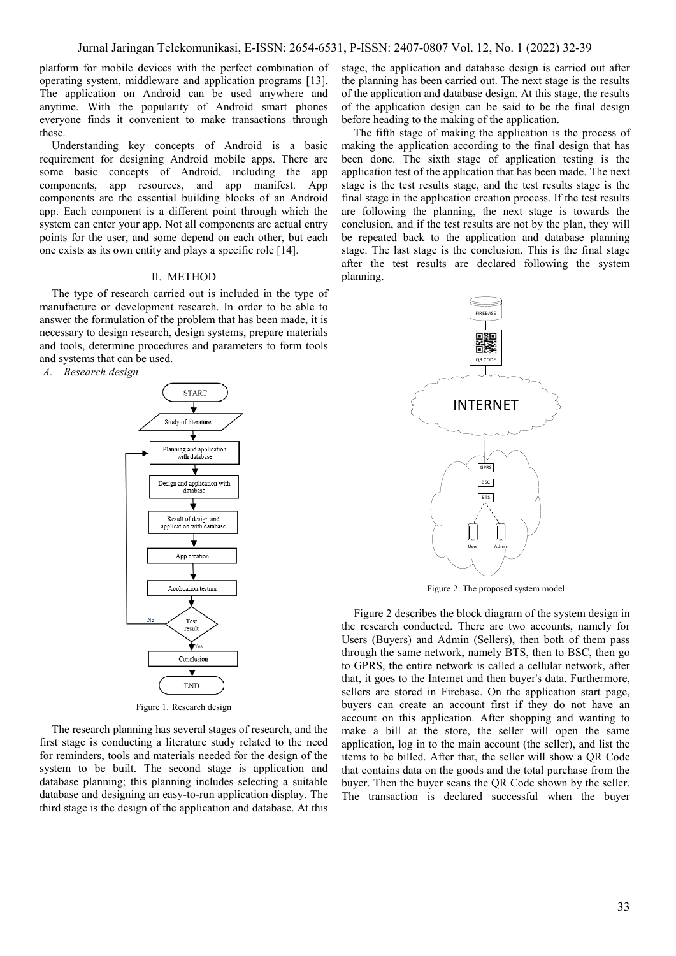platform for mobile devices with the perfect combination of operating system, middleware and application programs [13]. The application on Android can be used anywhere and anytime. With the popularity of Android smart phones everyone finds it convenient to make transactions through these.

Understanding key concepts of Android is a basic requirement for designing Android mobile apps. There are some basic concepts of Android, including the app components, app resources, and app manifest. App components are the essential building blocks of an Android app. Each component is a different point through which the system can enter your app. Not all components are actual entry points for the user, and some depend on each other, but each one exists as its own entity and plays a specific role [14].

#### II. METHOD

The type of research carried out is included in the type of manufacture or development research. In order to be able to answer the formulation of the problem that has been made, it is necessary to design research, design systems, prepare materials and tools, determine procedures and parameters to form tools and systems that can be used.

*A. Research design* **START** Study of literature Planning and application<br>with database Design and application with database Result of design and<br>application with database App creation Application testing Test result ₩œ Conclusion ₹ **END** Figure 1. Research design

The research planning has several stages of research, and the first stage is conducting a literature study related to the need for reminders, tools and materials needed for the design of the system to be built. The second stage is application and database planning; this planning includes selecting a suitable database and designing an easy-to-run application display. The third stage is the design of the application and database. At this stage, the application and database design is carried out after the planning has been carried out. The next stage is the results of the application and database design. At this stage, the results of the application design can be said to be the final design before heading to the making of the application.

The fifth stage of making the application is the process of making the application according to the final design that has been done. The sixth stage of application testing is the application test of the application that has been made. The next stage is the test results stage, and the test results stage is the final stage in the application creation process. If the test results are following the planning, the next stage is towards the conclusion, and if the test results are not by the plan, they will be repeated back to the application and database planning stage. The last stage is the conclusion. This is the final stage after the test results are declared following the system planning.



Figure 2. The proposed system model

Figure 2 describes the block diagram of the system design in the research conducted. There are two accounts, namely for Users (Buyers) and Admin (Sellers), then both of them pass through the same network, namely BTS, then to BSC, then go to GPRS, the entire network is called a cellular network, after that, it goes to the Internet and then buyer's data. Furthermore, sellers are stored in Firebase. On the application start page, buyers can create an account first if they do not have an account on this application. After shopping and wanting to make a bill at the store, the seller will open the same application, log in to the main account (the seller), and list the items to be billed. After that, the seller will show a QR Code that contains data on the goods and the total purchase from the buyer. Then the buyer scans the QR Code shown by the seller. The transaction is declared successful when the buyer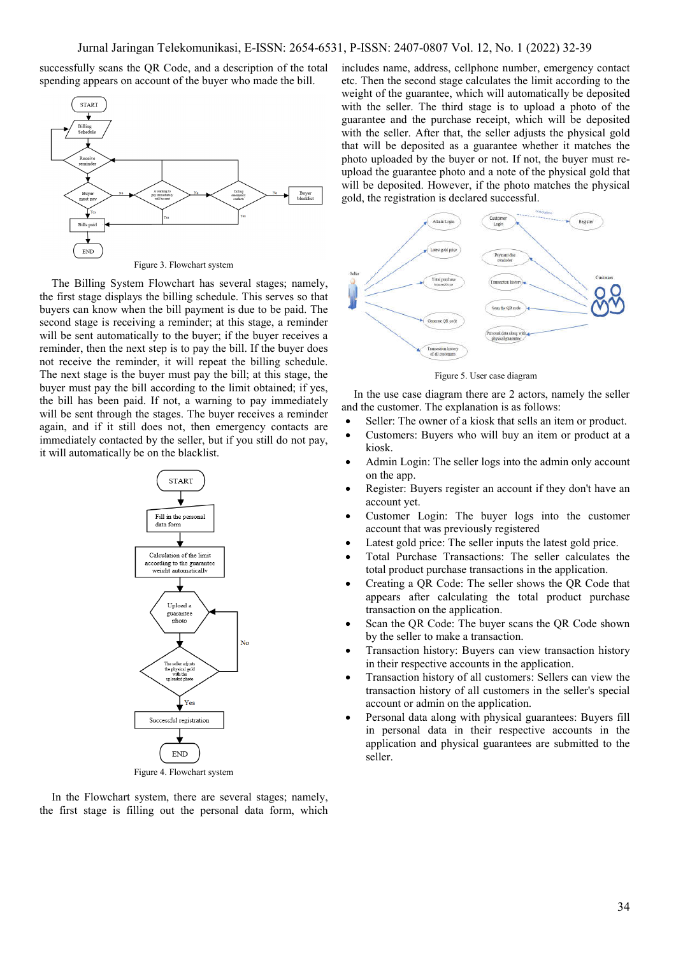successfully scans the QR Code, and a description of the total spending appears on account of the buyer who made the bill.



The Billing System Flowchart has several stages; namely, the first stage displays the billing schedule. This serves so that buyers can know when the bill payment is due to be paid. The second stage is receiving a reminder; at this stage, a reminder will be sent automatically to the buyer; if the buyer receives a reminder, then the next step is to pay the bill. If the buyer does not receive the reminder, it will repeat the billing schedule. The next stage is the buyer must pay the bill; at this stage, the buyer must pay the bill according to the limit obtained; if yes, the bill has been paid. If not, a warning to pay immediately will be sent through the stages. The buyer receives a reminder again, and if it still does not, then emergency contacts are immediately contacted by the seller, but if you still do not pay, it will automatically be on the blacklist.



In the Flowchart system, there are several stages; namely, the first stage is filling out the personal data form, which includes name, address, cellphone number, emergency contact etc. Then the second stage calculates the limit according to the weight of the guarantee, which will automatically be deposited with the seller. The third stage is to upload a photo of the guarantee and the purchase receipt, which will be deposited with the seller. After that, the seller adjusts the physical gold that will be deposited as a guarantee whether it matches the photo uploaded by the buyer or not. If not, the buyer must reupload the guarantee photo and a note of the physical gold that will be deposited. However, if the photo matches the physical gold, the registration is declared successful.



Figure 5. User case diagram

In the use case diagram there are 2 actors, namely the seller and the customer. The explanation is as follows:

- Seller: The owner of a kiosk that sells an item or product.
- Customers: Buyers who will buy an item or product at a kiosk.
- Admin Login: The seller logs into the admin only account on the app.
- Register: Buyers register an account if they don't have an account yet.
- Customer Login: The buyer logs into the customer account that was previously registered
- Latest gold price: The seller inputs the latest gold price.
- Total Purchase Transactions: The seller calculates the total product purchase transactions in the application.
- Creating a QR Code: The seller shows the QR Code that appears after calculating the total product purchase transaction on the application.
- Scan the QR Code: The buyer scans the QR Code shown by the seller to make a transaction.
- Transaction history: Buyers can view transaction history in their respective accounts in the application.
- Transaction history of all customers: Sellers can view the transaction history of all customers in the seller's special account or admin on the application.
- Personal data along with physical guarantees: Buyers fill in personal data in their respective accounts in the application and physical guarantees are submitted to the seller.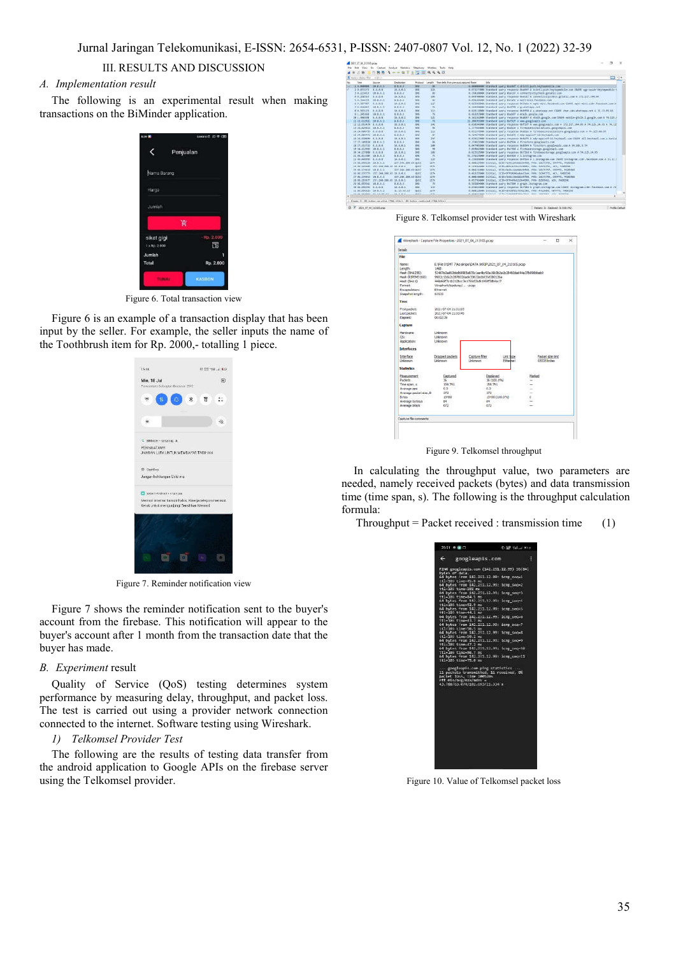# III. RESULTS AND DISCUSSION

# *A. Implementation result*

The following is an experimental result when making transactions on the BiMinder application.



Figure 6. Total transaction view

Figure 6 is an example of a transaction display that has been input by the seller. For example, the seller inputs the name of the Toothbrush item for Rp. 2000,- totalling 1 piece.



Figure 7. Reminder notification view

Figure 7 shows the reminder notification sent to the buyer's account from the firebase. This notification will appear to the buyer's account after 1 month from the transaction date that the buyer has made.

#### *B. Experiment* result

Quality of Service (QoS) testing determines system performance by measuring delay, throughput, and packet loss. The test is carried out using a provider network connection connected to the internet. Software testing using Wireshark.

#### *1) Telkomsel Provider Test*

The following are the results of testing data transfer from the android application to Google APIs on the firebase server using the Telkomsel provider.



Figure 8. Telkomsel provider test with Wireshark



Figure 9. Telkomsel throughput

In calculating the throughput value, two parameters are needed, namely received packets (bytes) and data transmission time (time span, s). The following is the throughput calculation formula:

Throughput = Packet received : transmission time  $(1)$ 

| $20.31$ $\pm 0.01$<br>D 227 Sal at 153 +                                                                                                                                                                                                                                                                                                                                                                                                                                                                                                                                                                                                                                                                                                                                                                                                                                                                                                                                                                     |   |
|--------------------------------------------------------------------------------------------------------------------------------------------------------------------------------------------------------------------------------------------------------------------------------------------------------------------------------------------------------------------------------------------------------------------------------------------------------------------------------------------------------------------------------------------------------------------------------------------------------------------------------------------------------------------------------------------------------------------------------------------------------------------------------------------------------------------------------------------------------------------------------------------------------------------------------------------------------------------------------------------------------------|---|
| $\leftarrow$<br>googleapis.com                                                                                                                                                                                                                                                                                                                                                                                                                                                                                                                                                                                                                                                                                                                                                                                                                                                                                                                                                                               | н |
| PING googleapis.com (142.251.12.99) 36(84)<br>bytes of data.<br>64 bytes (rom 142.251.12.99; icmp sco=1<br>ttl=305 time=45.8 ms<br>64 bytes From 142.251.12.99: icmp_seq=2<br>ttl=103 time=182 mm<br>64 bytes From 142.251.12.90: 1cmp sec-3<br>ttl=103 time=84.5 ms<br>64 bytes from 142.251.12.99: icrp_second<br>tti=103 time=52.5 ms<br>64 bytes from 142.251.12.99: icrp_sec=5<br>111-183 time=44.1 mm<br>64 bytes from 142.251.12.99: icrp_sec-6<br>ttl=183 time=43.7 mi<br>64 bytes from 142.251.12.99: icrp.sco=7<br>(tl=10) time=50.5 ms<br>64 bytes From 142.251.12.99: icrp sec-8<br>ttl-103 time-50.2 mm<br>64 bytes From 142.251.12.00: 1cmp_seq=0<br>ttl=103 time=47.2 ms<br>64 bytes from 143.351.12.99; irrp.sec-18<br>ttl=103 time=56.7 ms<br>04 bytes from 142.251.12.99: icep secr11<br>ttl=103 time=75.0 ms<br>--- googleapis.com ping statistics --<br>11 pockets transmitted, 11 received, 0%<br>packet loss, time 1005ams<br>rtt min/avg/max/mdow =<br>43.788/65.874/182.693/21.334 r |   |

Figure 10. Value of Telkomsel packet loss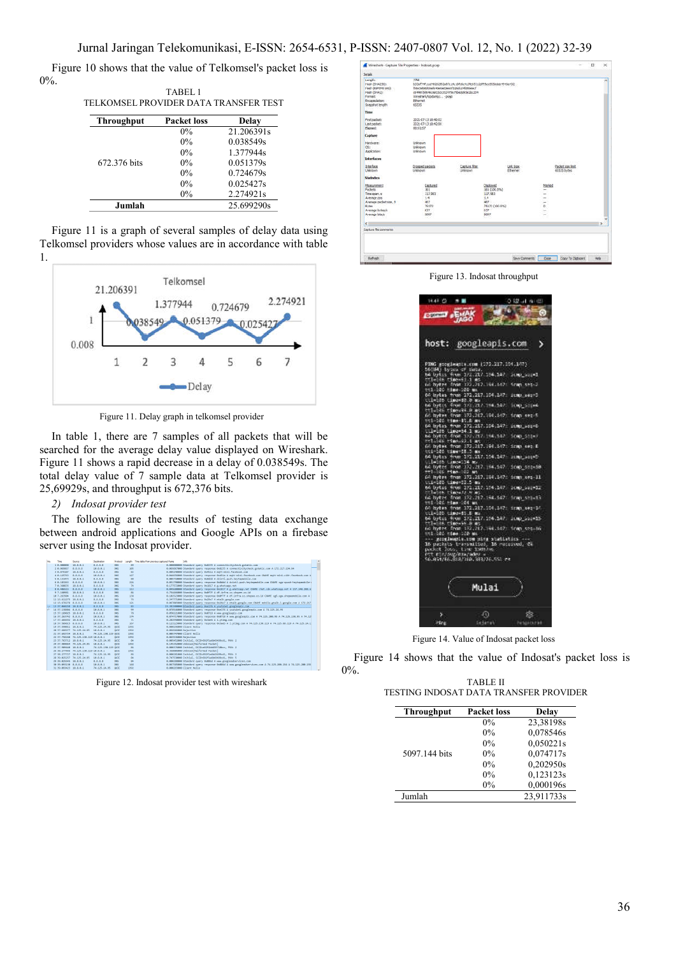Figure 10 shows that the value of Telkomsel's packet loss is 0%. TABEL 1

|                                       | TABEL I |  |  |
|---------------------------------------|---------|--|--|
| TELKOMSEL PROVIDER DATA TRANSFER TEST |         |  |  |

| <b>Throughput</b> | <b>Packet loss</b> | Delay      |
|-------------------|--------------------|------------|
|                   | $0\%$              | 21.206391s |
|                   | $0\%$              | 0.038549s  |
|                   | $0\%$              | 1.377944s  |
| 672.376 bits      | $0\%$              | 0.051379s  |
|                   | $0\%$              | 0.724679s  |
|                   | $0\%$              | 0.025427s  |
|                   | $0\%$              | 2.274921s  |
| Jumlah            |                    | 25.699290s |

Figure 11 is a graph of several samples of delay data using Telkomsel providers whose values are in accordance with table 1.



Figure 11. Delay graph in telkomsel provider

In table 1, there are 7 samples of all packets that will be searched for the average delay value displayed on Wireshark. Figure 11 shows a rapid decrease in a delay of 0.038549s. The total delay value of 7 sample data at Telkomsel provider is 25,69929s, and throughput is 672,376 bits.

# *2) Indosat provider test*

The following are the results of testing data exchange between android applications and Google APIs on a firebase server using the Indosat provider.



Figure 12. Indosat provider test with wireshark

|                                                                                                                                              | Wineshark - Capture File Properties - Indonat.pcap                                                                                                                                                                                         |                                           |                                                                                              |                        |                              |                                             | u | × |
|----------------------------------------------------------------------------------------------------------------------------------------------|--------------------------------------------------------------------------------------------------------------------------------------------------------------------------------------------------------------------------------------------|-------------------------------------------|----------------------------------------------------------------------------------------------|------------------------|------------------------------|---------------------------------------------|---|---|
| Details                                                                                                                                      |                                                                                                                                                                                                                                            |                                           |                                                                                              |                        |                              |                                             |   |   |
| Length<br>Hash (SHA256)<br>Hash (RIPEND 2001:<br>Hash (SHA1)<br>Pornat:<br>Eixamidation:<br><b>Snapshot lengths</b>                          | T <sub>AB</sub><br>833ef74f11cd48262f62a87cj4c10fc6c413fe65312df93a1955ddeb4943a432<br>ft6e5dMd00afe43e0a33ex0f336dc24ht6excf<br>in 4403 555 46 pixels for 152 6 Nia Whenlett Se the 25 4<br>Wreshark/trpdung/ - post<br>Ethernet<br>65535 |                                           |                                                                                              |                        |                              |                                             |   | × |
| Time                                                                                                                                         |                                                                                                                                                                                                                                            |                                           |                                                                                              |                        |                              |                                             |   |   |
| Protosolat:<br>Last padet:<br>Playered:                                                                                                      | 2021-07-13 18:40:02<br>2021-07-13 18:42:00<br>00:01:57                                                                                                                                                                                     |                                           |                                                                                              |                        |                              |                                             |   |   |
| Capture                                                                                                                                      |                                                                                                                                                                                                                                            |                                           |                                                                                              |                        |                              |                                             |   |   |
| Hardware:<br>OS:<br>Accications                                                                                                              | 12000<br><b>Linkmedim</b><br>Linksteam<br>Drivnown                                                                                                                                                                                         |                                           |                                                                                              |                        |                              |                                             |   |   |
| <b>Interfaces</b>                                                                                                                            |                                                                                                                                                                                                                                            |                                           |                                                                                              |                        |                              |                                             |   |   |
| 2-ter face<br>Unknown                                                                                                                        | Dropped packets.<br>Linknown                                                                                                                                                                                                               | <b>COLLEGE</b><br>Capture Rise<br>Unknown |                                                                                              | Link Eyper<br>Ethernet |                              | ountuc-<br>Packet size limit<br>65535 bytes |   |   |
| Statistics                                                                                                                                   | ason.                                                                                                                                                                                                                                      |                                           |                                                                                              |                        |                              | - 7                                         |   |   |
| Measurement<br><b>Packets</b><br>Time span, v<br>Average pps<br>Average packet size, B<br><b>Byles</b><br>Average bytes is<br>Average bita/s | Castured<br>161<br>117.983<br>1.4<br>$-407$<br>75172<br>637<br>5097<br>œ                                                                                                                                                                   |                                           | <b>Displayed</b><br>393 (100.0%)<br>117.983<br>1.4<br>407 %<br>75172 (100.0%)<br>617<br>5097 |                        | <b>Harked</b><br>÷<br>-<br>b |                                             |   |   |
| ¢.                                                                                                                                           |                                                                                                                                                                                                                                            |                                           |                                                                                              |                        |                              |                                             |   | × |
| Clerture file convertibili                                                                                                                   |                                                                                                                                                                                                                                            |                                           |                                                                                              |                        |                              |                                             |   |   |

Figure 13. Indosat throughput

|                       | host: googleapis.com                                                                                                                      |                |
|-----------------------|-------------------------------------------------------------------------------------------------------------------------------------------|----------------|
|                       |                                                                                                                                           |                |
|                       | PING googleanis.com 1272.217.104.1/77)                                                                                                    |                |
|                       | 16(84) tytus of Sele.<br>64 Uyles from 172.21. 194.147 (n.mr. 2014)<br>17 John Timondi I at.<br>60 Dytes from 177.212.168.162. Somm seq.2 |                |
|                       |                                                                                                                                           |                |
| tt1-100 time-100 us   | 66 kytus tram 172.217.104.147: icmp_suc=3<br>Cil=185 Cime=82.0 ms                                                                         |                |
|                       | 64 bytes from 172,217.194.147.<br>http://www.del.e.es                                                                                     | 1000 531 KG    |
|                       | 65 bytes Tram 173.217.104.147.<br>tt1-105 time-15.6 ms                                                                                    | tem secifi     |
|                       | 64 bytes from 172.217.154.147.                                                                                                            | 11MD 5014D     |
|                       | Cileldi (imaei4 1 m)<br>64 bytrs from 172,212,194,142<br>religi rimous2,1 mt                                                              | $1000.581 - 7$ |
|                       |                                                                                                                                           | irms sec.E     |
|                       | GC bytes from 173.217.104.147.<br>tti-105 time-18.3 ms<br>64 bytes from 173.217.154.147.                                                  | 2000 30040     |
| UlleldS time=114 m.   |                                                                                                                                           | 1000 552-18    |
|                       | 64 bytes from 172.217.184.147. 1cmp_ssq=10<br>==1-146 =1me 142 ms<br>64 bytes from 173.217.184.147: 1cmp_seq-11                           |                |
| Util-103-time=12.5 mm |                                                                                                                                           | 1000 500 LZ    |
|                       | 84 bylis from 171.217.124.147.<br>Utlades timen/2 * mb<br>64 byles from 172.217.144.147.<br>ttl 186 time (84 mb                           | frag shouts    |
|                       |                                                                                                                                           |                |
|                       | 60 bytes from 172.217.104.147: irmp_sec-16<br>til=105 time=11.5 ms<br>64 bytes from 172.217.194.147: itmp_sec=15                          |                |
| ttlelB6 time=56.8 ms  |                                                                                                                                           |                |
|                       | nd hytre Trom 172,217,344,147, irm, sequin<br>tri 182 rime 120 ms                                                                         |                |
|                       |                                                                                                                                           |                |
|                       |                                                                                                                                           |                |
|                       |                                                                                                                                           |                |
|                       |                                                                                                                                           |                |
|                       |                                                                                                                                           |                |

Figure 14. Value of Indosat packet loss

Figure 14 shows that the value of Indosat's packet loss is 0%.

TABLE II TESTING INDOSAT DATA TRANSFER PROVIDER

| <b>Throughput</b> | <b>Packet loss</b> | <b>Delay</b> |
|-------------------|--------------------|--------------|
|                   | $0\%$              | 23,38198s    |
|                   | 0%                 | 0,078546s    |
|                   | 0%                 | 0,050221s    |
| 5097.144 bits     | $0\%$              | 0,074717s    |
|                   | $0\%$              | 0,202950s    |
|                   | 0%                 | 0,123123s    |
|                   | 0%                 | 0,000196s    |
| Jumlah            |                    | 23.911733s   |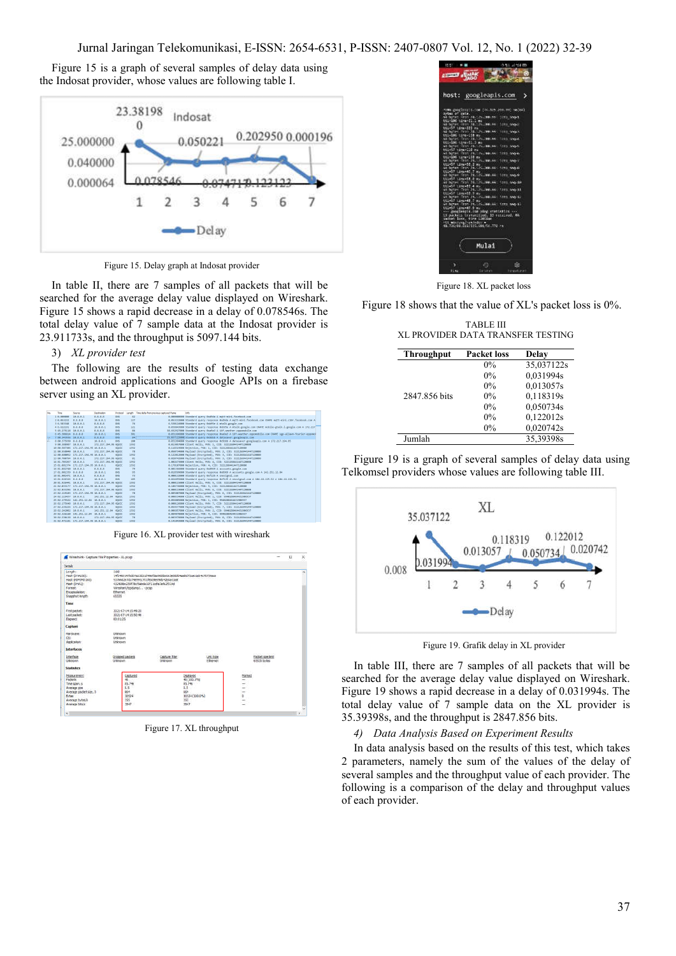## Jurnal Jaringan Telekomunikasi, E-ISSN: 2654-6531, P-ISSN: 2407-0807 Vol. 12, No. 1 (2022) 32-39

Figure 15 is a graph of several samples of delay data using the Indosat provider, whose values are following table I.



Figure 15. Delay graph at Indosat provider

In table II, there are 7 samples of all packets that will be searched for the average delay value displayed on Wireshark. Figure 15 shows a rapid decrease in a delay of 0.078546s. The total delay value of 7 sample data at the Indosat provider is 23.911733s, and the throughput is 5097.144 bits.

#### 3) *XL provider test*

The following are the results of testing data exchange between android applications and Google APIs on a firebase server using an XL provider.



Figure 16. XL provider test with wireshark



Figure 17. XL throughput



Figure 18. XL packet loss

Figure 18 shows that the value of XL's packet loss is 0%.

| TABLE III                         |  |
|-----------------------------------|--|
| XL PROVIDER DATA TRANSFER TESTING |  |

| <b>Throughput</b> | <b>Packet loss</b> | Delay      |
|-------------------|--------------------|------------|
|                   | $0\%$              | 35,037122s |
|                   | $0\%$              | 0,031994s  |
|                   | $0\%$              | 0,013057s  |
| 2847.856 bits     | $0\%$              | 0,118319s  |
|                   | $0\%$              | 0,050734s  |
|                   | $0\%$              | 0,122012s  |
|                   | $0\%$              | 0,020742s  |
| Jumlah            |                    | 35,39398s  |

Figure 19 is a graph of several samples of delay data using Telkomsel providers whose values are following table III.



Figure 19. Grafik delay in XL provider

In table III, there are 7 samples of all packets that will be searched for the average delay value displayed on Wireshark. Figure 19 shows a rapid decrease in a delay of 0.031994s. The total delay value of 7 sample data on the XL provider is 35.39398s, and the throughput is 2847.856 bits.

*4) Data Analysis Based on Experiment Results*

In data analysis based on the results of this test, which takes 2 parameters, namely the sum of the values of the delay of several samples and the throughput value of each provider. The following is a comparison of the delay and throughput values of each provider.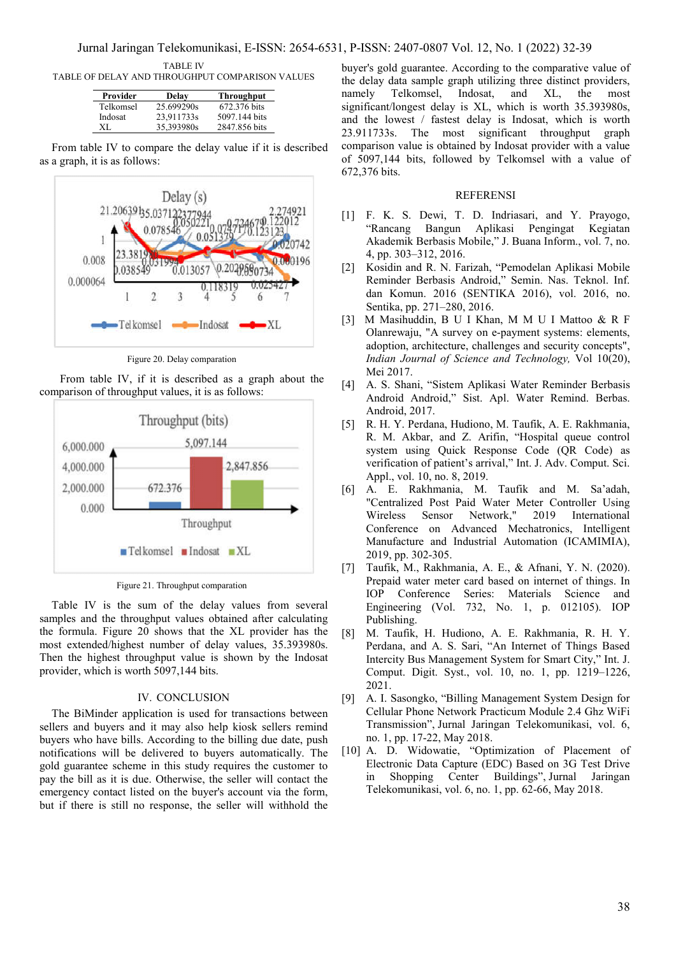TABLE IV

TABLE OF DELAY AND THROUGHPUT COMPARISON VALUES

| Provider  | Delay      | <b>Throughput</b> |
|-----------|------------|-------------------|
| Telkomsel | 25.699290s | 672.376 bits      |
| Indosat   | 23,911733s | 5097.144 bits     |
| XL        | 35,393980s | 2847.856 bits     |

From table IV to compare the delay value if it is described as a graph, it is as follows:



Figure 20. Delay comparation

From table IV, if it is described as a graph about the comparison of throughput values, it is as follows:



Figure 21. Throughput comparation

Table IV is the sum of the delay values from several samples and the throughput values obtained after calculating the formula. Figure 20 shows that the XL provider has the most extended/highest number of delay values, 35.393980s. Then the highest throughput value is shown by the Indosat provider, which is worth 5097,144 bits.

#### IV. CONCLUSION

The BiMinder application is used for transactions between sellers and buyers and it may also help kiosk sellers remind buyers who have bills. According to the billing due date, push notifications will be delivered to buyers automatically. The gold guarantee scheme in this study requires the customer to pay the bill as it is due. Otherwise, the seller will contact the emergency contact listed on the buyer's account via the form, but if there is still no response, the seller will withhold the buyer's gold guarantee. According to the comparative value of the delay data sample graph utilizing three distinct providers,<br>namely Telkomsel, Indosat, and XL, the most namely Telkomsel, Indosat, and XL, the most significant/longest delay is XL, which is worth 35.393980s, and the lowest / fastest delay is Indosat, which is worth 23.911733s. The most significant throughput graph comparison value is obtained by Indosat provider with a value of 5097,144 bits, followed by Telkomsel with a value of 672,376 bits.

## **REFERENSI**

- [1] F. K. S. Dewi, T. D. Indriasari, and Y. Prayogo, "Rancang Bangun Aplikasi Pengingat Kegiatan Akademik Berbasis Mobile," J. Buana Inform., vol. 7, no. 4, pp. 303–312, 2016.
- [2] Kosidin and R. N. Farizah, "Pemodelan Aplikasi Mobile Reminder Berbasis Android," Semin. Nas. Teknol. Inf. dan Komun. 2016 (SENTIKA 2016), vol. 2016, no. Sentika, pp. 271–280, 2016.
- [3] M Masihuddin, B U I Khan, M M U I Mattoo & R F Olanrewaju, "A survey on e-payment systems: elements, adoption, architecture, challenges and security concepts", *Indian Journal of Science and Technology,* Vol 10(20), Mei 2017.
- [4] A. S. Shani, "Sistem Aplikasi Water Reminder Berbasis Android Android," Sist. Apl. Water Remind. Berbas. Android, 2017.
- [5] R. H. Y. Perdana, Hudiono, M. Taufik, A. E. Rakhmania, R. M. Akbar, and Z. Arifin, "Hospital queue control system using Quick Response Code (QR Code) as verification of patient's arrival," Int. J. Adv. Comput. Sci. Appl., vol. 10, no. 8, 2019.
- [6] A. E. Rakhmania, M. Taufik and M. Sa'adah, "Centralized Post Paid Water Meter Controller Using Wireless Sensor Network," 2019 International Conference on Advanced Mechatronics, Intelligent Manufacture and Industrial Automation (ICAMIMIA), 2019, pp. 302-305.
- [7] Taufik, M., Rakhmania, A. E., & Afnani, Y. N. (2020). Prepaid water meter card based on internet of things. In IOP Conference Series: Materials Science and Engineering (Vol. 732, No. 1, p. 012105). IOP Publishing.
- [8] M. Taufik, H. Hudiono, A. E. Rakhmania, R. H. Y. Perdana, and A. S. Sari, "An Internet of Things Based Intercity Bus Management System for Smart City," Int. J. Comput. Digit. Syst., vol. 10, no. 1, pp. 1219–1226, 2021.
- [9] A. I. Sasongko, "Billing Management System Design for Cellular Phone Network Practicum Module 2.4 Ghz WiFi Transmission", Jurnal Jaringan Telekomunikasi, vol. 6, no. 1, pp. 17-22, May 2018.
- [10] A. D. Widowatie, "Optimization of Placement of Electronic Data Capture (EDC) Based on 3G Test Drive in Shopping Center Buildings", Jurnal Jaringan Telekomunikasi, vol. 6, no. 1, pp. 62-66, May 2018.